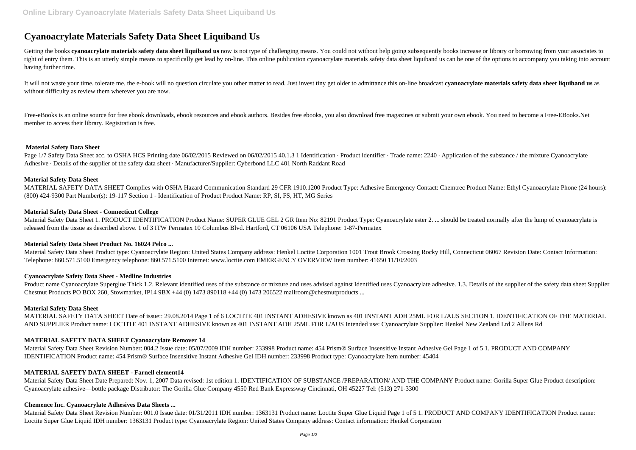# **Cyanoacrylate Materials Safety Data Sheet Liquiband Us**

Getting the books cyanoacrylate materials safety data sheet liquiband us now is not type of challenging means. You could not without help going subsequently books increase or library or borrowing from your associates to right of entry them. This is an utterly simple means to specifically get lead by on-line. This online publication cyanoacrylate materials safety data sheet liquiband us can be one of the options to accompany you taking int having further time.

It will not waste your time, tolerate me, the e-book will no question circulate you other matter to read. Just invest tiny get older to admittance this on-line broadcast cyanoacrylate materials safety data sheet liquiband without difficulty as review them wherever you are now.

Free-eBooks is an online source for free ebook downloads, ebook resources and ebook authors. Besides free ebooks, you also download free magazines or submit your own ebook. You need to become a Free-EBooks.Net member to access their library. Registration is free.

Page 1/7 Safety Data Sheet acc. to OSHA HCS Printing date 06/02/2015 Reviewed on 06/02/2015 40.1.3 1 Identification · Product identifier · Trade name: 2240 · Application of the substance / the mixture Cyanoacrylate Adhesive · Details of the supplier of the safety data sheet · Manufacturer/Supplier: Cyberbond LLC 401 North Raddant Road

Material Safety Data Sheet 1. PRODUCT IDENTIFICATION Product Name: SUPER GLUE GEL 2 GR Item No: 82191 Product Type: Cyanoacrylate ester 2. ... should be treated normally after the lump of cyanoacrylate is released from the tissue as described above. 1 of 3 ITW Permatex 10 Columbus Blvd. Hartford, CT 06106 USA Telephone: 1-87-Permatex

### **Material Safety Data Sheet**

# **Material Safety Data Sheet**

MATERIAL SAFETY DATA SHEET Complies with OSHA Hazard Communication Standard 29 CFR 1910.1200 Product Type: Adhesive Emergency Contact: Chemtrec Product Name: Ethyl Cyanoacrylate Phone (24 hours): (800) 424-9300 Part Number(s): 19-117 Section 1 - Identification of Product Product Name: RP, SI, FS, HT, MG Series

# **Material Safety Data Sheet - Connecticut College**

# **Material Safety Data Sheet Product No. 16024 Pelco ...**

Material Safety Data Sheet Product type: Cyanoacrylate Region: United States Company address: Henkel Loctite Corporation 1001 Trout Brook Crossing Rocky Hill, Connecticut 06067 Revision Date: Contact Information: Telephone: 860.571.5100 Emergency telephone: 860.571.5100 Internet: www.loctite.com EMERGENCY OVERVIEW Item number: 41650 11/10/2003

# **Cyanoacrylate Safety Data Sheet - Medline Industries**

Product name Cyanoacrylate Superglue Thick 1.2. Relevant identified uses of the substance or mixture and uses advised against Identified uses Cyanoacrylate adhesive. 1.3. Details of the supplier of the safety data sheet Su Chestnut Products PO BOX 260, Stowmarket, IP14 9BX +44 (0) 1473 890118 +44 (0) 1473 206522 mailroom@chestnutproducts ...

# **Material Safety Data Sheet**

MATERIAL SAFETY DATA SHEET Date of issue:: 29.08.2014 Page 1 of 6 LOCTITE 401 INSTANT ADHESIVE known as 401 INSTANT ADH 25ML FOR L/AUS SECTION 1. IDENTIFICATION OF THE MATERIAL AND SUPPLIER Product name: LOCTITE 401 INSTANT ADHESIVE known as 401 INSTANT ADH 25ML FOR L/AUS Intended use: Cyanoacrylate Supplier: Henkel New Zealand Ltd 2 Allens Rd

# **MATERIAL SAFETY DATA SHEET Cyanoacrylate Remover 14**

Material Safety Data Sheet Revision Number: 004.2 Issue date: 05/07/2009 IDH number: 233998 Product name: 454 Prism® Surface Insensitive Instant Adhesive Gel Page 1 of 5 1. PRODUCT AND COMPANY IDENTIFICATION Product name: 454 Prism® Surface Insensitive Instant Adhesive Gel IDH number: 233998 Product type: Cyanoacrylate Item number: 45404

# **MATERIAL SAFETY DATA SHEET - Farnell element14**

Material Safety Data Sheet Date Prepared: Nov. 1, 2007 Data revised: 1st edition 1. IDENTIFICATION OF SUBSTANCE /PREPARATION/ AND THE COMPANY Product name: Gorilla Super Glue Product description: Cyanoacrylate adhesive—bottle package Distributor: The Gorilla Glue Company 4550 Red Bank Expressway Cincinnati, OH 45227 Tel: (513) 271-3300

### **Chemence Inc. Cyanoacrylate Adhesives Data Sheets ...**

Material Safety Data Sheet Revision Number: 001.0 Issue date: 01/31/2011 IDH number: 1363131 Product name: Loctite Super Glue Liquid Page 1 of 5 1. PRODUCT AND COMPANY IDENTIFICATION Product name: Loctite Super Glue Liquid IDH number: 1363131 Product type: Cyanoacrylate Region: United States Company address: Contact information: Henkel Corporation